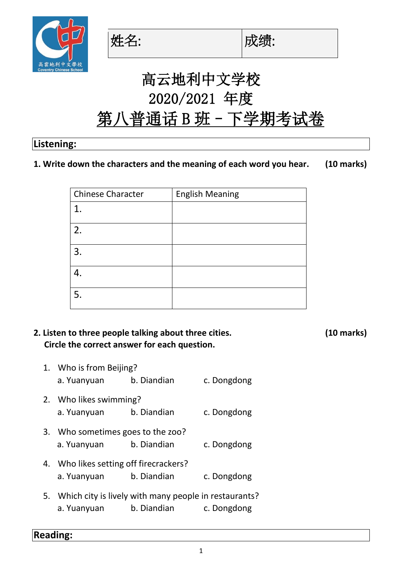

**姓名: (1)** l成绩:



# 高云地利中文学校 2020/2021 年度 第八普通话 B 班 - 下学期考试卷

#### **Listening:**

#### **1. Write down the characters and the meaning of each word you hear. (10 marks)**

| <b>Chinese Character</b> | <b>English Meaning</b> |
|--------------------------|------------------------|
| $\mathbf{1}$             |                        |
| 2.                       |                        |
| 3.                       |                        |
|                          |                        |
| 5.                       |                        |

# **2. Listen to three people talking about three cities. (10 marks) Circle the correct answer for each question.**

- 1. Who is from Beijing? a. Yuanyuan b. Diandian c. Dongdong 2. Who likes swimming? a. Yuanyuan b. Diandian c. Dongdong 3. Who sometimes goes to the zoo? a. Yuanyuan b. Diandian c. Dongdong 4. Who likes setting off firecrackers? a. Yuanyuan b. Diandian c. Dongdong 5. Which city is lively with many people in restaurants?
	- a. Yuanyuan b. Diandian c. Dongdong

**Reading:**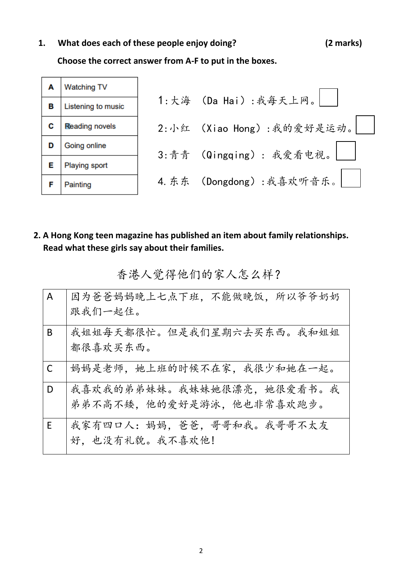# **1. What does each of these people enjoy doing? (2 marks)**

**Choose the correct answer from A-F to put in the boxes.** 

|   | <b>Watching TV</b>    |                           |
|---|-----------------------|---------------------------|
| в | Listening to music    | 1:大海 (Da Hai):我每天上网。      |
| С | <b>Reading novels</b> | 2:小红 (Xiao Hong):我的爱好是运动。 |
| D | Going online          | 3:青青 (Qingqing): 我爱看电视。   |
| E | <b>Playing sport</b>  |                           |
|   | Painting              | 4. 东东 (Dongdong): 我喜欢听音乐。 |

**2. A Hong Kong teen magazine has published an item about family relationships. Read what these girls say about their families.**

香港人觉得他们的家人怎么样?

| $\overline{A}$ | 因为爸爸妈妈晚上七点下班,不能做晚饭,所以爷爷奶奶   |
|----------------|-----------------------------|
|                | 跟我们一起住。                     |
| B              | 我姐姐每天都很忙。但是我们星期六去买东西。我和姐姐   |
|                | 都很喜欢买东西。                    |
| $\mathsf{C}$   | 妈妈是老师,她上班的时候不在家,我很少和她在一起。   |
| D              | 我喜欢我的弟弟妹妹。我妹妹她很漂亮,她很爱看书。我   |
|                | 弟弟不高不矮,他的爱好是游泳,他也非常喜欢跑步。    |
| E              | 我家有四口人: 妈妈, 爸爸, 哥哥和我。我哥哥不太友 |
|                | 好, 也没有礼貌。我不喜欢他!             |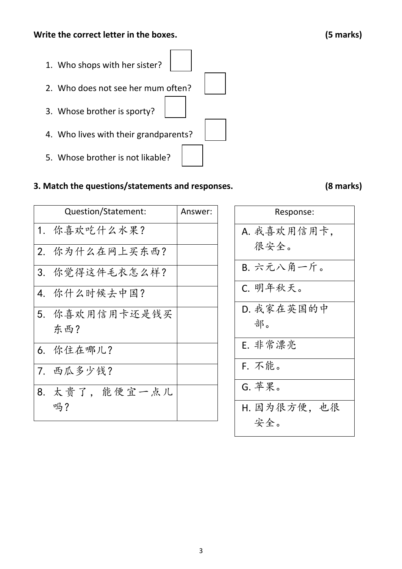1. Who shops with her sister? 2. Who does not see her mum often? 3. Whose brother is sporty? 4. Who lives with their grandparents? 5. Whose brother is not likable?

# **3. Match the questions/statements and responses. (8 marks)**

| Question/Statement: | Answer: |
|---------------------|---------|
| 1. 你喜欢吃什么水果?        |         |
| 2. 你为什么在网上买东西?      |         |
| 3. 你觉得这件毛衣怎么样?      |         |
| 4. 你什么时候去中国?        |         |
| 5. 你喜欢用信用卡还是钱买      |         |
| 东西?                 |         |
| 6. 你住在哪儿?           |         |
| 7. 西瓜多少钱?           |         |
| 8. 太贵了, 能便宜一点儿      |         |
| 吗?                  |         |

| Response:    |  |  |  |
|--------------|--|--|--|
| A. 我喜欢用信用卡,  |  |  |  |
| 很安全。         |  |  |  |
| B. 六元八角一斤。   |  |  |  |
| C. 明年秋天。     |  |  |  |
| D. 我家在英国的中   |  |  |  |
| 部。           |  |  |  |
| E. 非常漂亮      |  |  |  |
| F. 不能。       |  |  |  |
| G. 苹果。       |  |  |  |
| H. 因为很方便, 也很 |  |  |  |
| 安全。          |  |  |  |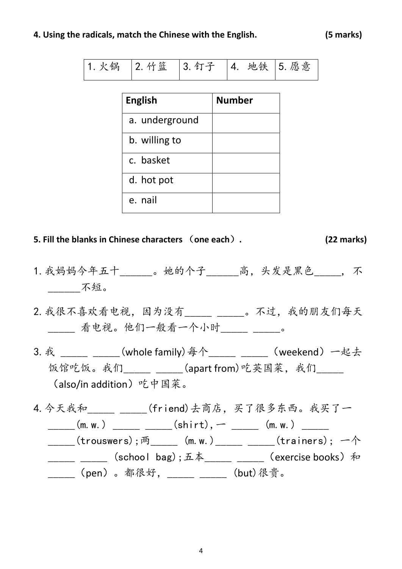#### **4. Using the radicals, match the Chinese with the English. (5 marks)**

| 1. 火锅   2. 竹篮   3. 钉子   4. 地铁   5. 愿意 |  |  |  |
|---------------------------------------|--|--|--|
|                                       |  |  |  |

| <b>English</b> | <b>Number</b> |
|----------------|---------------|
| a. underground |               |
| b. willing to  |               |
| c. basket      |               |
| d. hot pot     |               |
| e. nail        |               |

#### **5. Fill the blanks in Chinese characters** (**one each**)**. (22 marks)**

- 1.我妈妈今年五十\_\_\_\_\_\_。她的个子\_\_\_\_\_\_高,头发是黑色\_\_\_\_\_, 不 \_\_\_\_\_\_不短。
- 2.我很不喜欢看电视,因为没有\_\_\_\_\_ \_\_\_\_\_。不过,我的朋友们每天 \_\_\_\_\_ 看电视。他们一般看一个小时\_\_\_\_\_ \_\_\_\_\_。
- 3. 我 \_\_\_\_\_ \_\_\_\_\_(whole family) 每个\_\_\_\_\_ \_\_\_\_\_ (weekend) 一起去 饭馆吃饭。我们\_\_\_\_\_\_ \_\_\_\_\_(apart from)吃英国菜, 我们\_\_\_\_\_ (also/in addition)吃中国菜。
- 4. 今天我和\_\_\_\_\_\_\_\_\_\_\_\_(friend)去商店,买了很多东西。我买了一  $(m. w.)$   $(shift), (m. w.)$ \_\_\_\_\_(trouswers);两\_\_\_\_\_ (m. w.)\_\_\_\_\_ \_\_\_\_(trainers); 一个 \_\_\_\_\_\_ \_\_\_\_\_\_(school bag);五本\_\_\_\_\_\_ \_\_\_\_\_\_(exercise books)和 \_\_\_\_\_\_(pen)。都很好, \_\_\_\_\_ \_\_\_\_\_ (but)很贵。